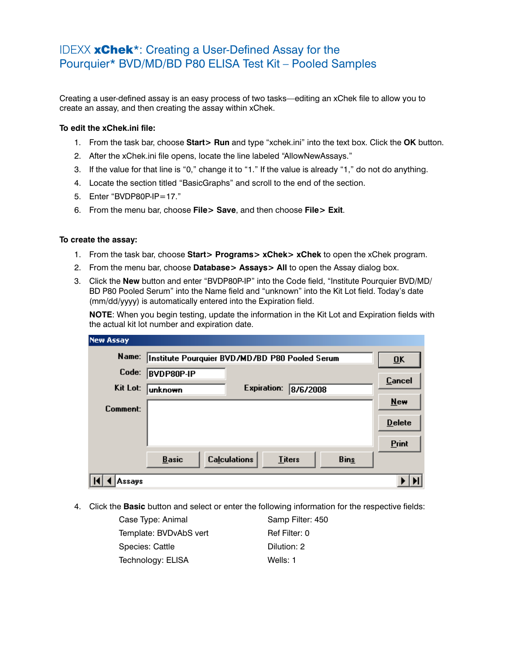## IDEXX xChek\*: Creating a User-Defined Assay for the Pourquier\* BVD/MD/BD P80 ELISA Test Kit – Pooled Samples

Creating a user-defined assay is an easy process of two tasks—editing an xChek file to allow you to create an assay, and then creating the assay within xChek.

## **To edit the xChek.ini file:**

- 1. From the task bar, choose **Start> Run** and type "xchek.ini" into the text box. Click the **OK** button.
- 2. After the xChek.ini file opens, locate the line labeled "AllowNewAssays."
- 3. If the value for that line is "0," change it to "1." If the value is already "1," do not do anything.
- 4. Locate the section titled "BasicGraphs" and scroll to the end of the section.
- 5. Enter "BVDP80P-IP=17."
- 6. From the menu bar, choose **File> Save**, and then choose **File> Exit**.

## **To create the assay:**

- 1. From the task bar, choose **Start> Programs> xChek> xChek** to open the xChek program.
- 2. From the menu bar, choose **Database> Assays> All** to open the Assay dialog box.
- 3. Click the **New** button and enter "BVDP80P-IP" into the Code field, "Institute Pourquier BVD/MD/ BD P80 Pooled Serum" into the Name field and "unknown" into the Kit Lot field. Today's date (mm/dd/yyyy) is automatically entered into the Expiration field.

**NOTE:** When you begin testing, update the information in the Kit Lot and Expiration fields with the actual kit lot number and expiration date.

| <b>New Assay</b> |                                                |                           |               |             |               |
|------------------|------------------------------------------------|---------------------------|---------------|-------------|---------------|
| Name:            | Institute Pourquier BVD/MD/BD P80 Pooled Serum | $\overline{\mathbf{0}}$ K |               |             |               |
| Code:            | <b>BVDP80P-IP</b>                              |                           |               |             | <b>Cancel</b> |
| Kit Lot:         | unknown                                        | <b>Expiration:</b>        | 8/6/2008      |             |               |
| Comment:         |                                                |                           |               |             | <b>New</b>    |
|                  |                                                |                           |               |             | <b>Delete</b> |
|                  |                                                |                           |               |             | Print         |
|                  | <b>Basic</b>                                   | <b>Calculations</b>       | <b>Titers</b> | <b>Bins</b> |               |
| Assays           |                                                |                           |               |             |               |

4. Click the **Basic** button and select or enter the following information for the respective fields:

| Case Type: Animal      | Samp Filter: 450 |
|------------------------|------------------|
| Template: BVDvAbS vert | Ref Filter: 0    |
| Species: Cattle        | Dilution: 2      |
| Technology: ELISA      | Wells: 1         |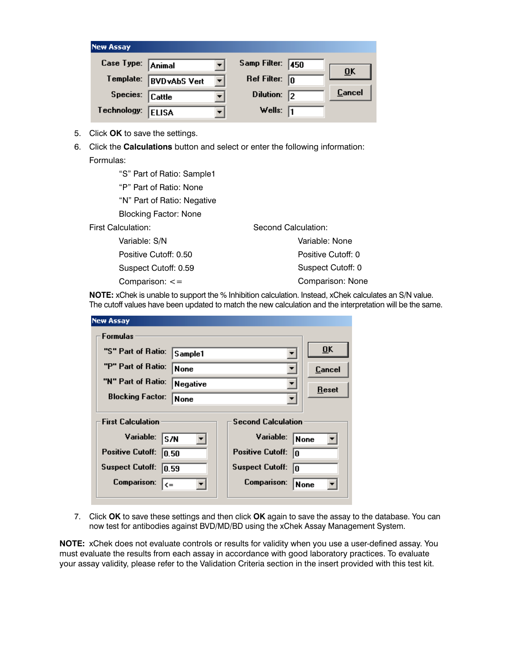| <b>New Assay</b>  |                      |    |                         |                           |
|-------------------|----------------------|----|-------------------------|---------------------------|
| Case Type: Animal |                      |    | Samp Filter: 450        |                           |
| Template:         | <b>BVD</b> vAbS Vert | ▾╎ | Ref Filter: $\boxed{0}$ | $\overline{\mathbf{0}}$ K |
| Species: Cattle   |                      |    | Dilution: $\sqrt{2}$    | Cancel                    |
| Technology:       | <b>ELISA</b>         |    | Wells: $\sqrt{1}$       |                           |

- 5. Click **OK** to save the settings.
- 6. Click the **Calculations** button and select or enter the following information: Formulas:

 "S" Part of Ratio: Sample1 "P" Part of Ratio: None "N" Part of Ratio: Negative Blocking Factor: None First Calculation: Variable: S/N Positive Cutoff: 0.50 Suspect Cutoff: 0.59 Comparison: <= Second Calculation: Variable: None Positive Cutoff: 0 Suspect Cutoff: 0 Comparison: None

**NOTE:** xChek is unable to support the % Inhibition calculation. Instead, xChek calculates an S/N value. The cutoff values have been updated to match the new calculation and the interpretation will be the same.

| <b>New Assay</b>                                                  |                           |
|-------------------------------------------------------------------|---------------------------|
| <b>Formulas</b>                                                   |                           |
| "S" Part of Ratio:<br>Sample1                                     | $\overline{\mathbf{0}}$ K |
| "P" Part of Ratio:<br>None                                        | Cancel                    |
| "N" Part of Ratio:<br>Negative                                    | Reset                     |
| <b>Blocking Factor:</b><br>None                                   |                           |
| <b>First Calculation</b><br><b>Second Calculation</b>             |                           |
| Variable:<br>Variable:<br>S/N<br><b>None</b>                      |                           |
| <b>Positive Cutoff:</b><br><b>Positive Cutoff:</b><br>10.50<br>In |                           |
| <b>Suspect Cutoff:</b><br><b>Suspect Cutoff:</b><br> 0.59<br>In   |                           |
| <b>Comparison:</b><br><b>Comparison:</b><br>None<br>l<=           |                           |

7. Click **OK** to save these settings and then click **OK** again to save the assay to the database. You can now test for antibodies against BVD/MD/BD using the xChek Assay Management System.

**NOTE:** xChek does not evaluate controls or results for validity when you use a user-defined assay. You must evaluate the results from each assay in accordance with good laboratory practices. To evaluate your assay validity, please refer to the Validation Criteria section in the insert provided with this test kit.